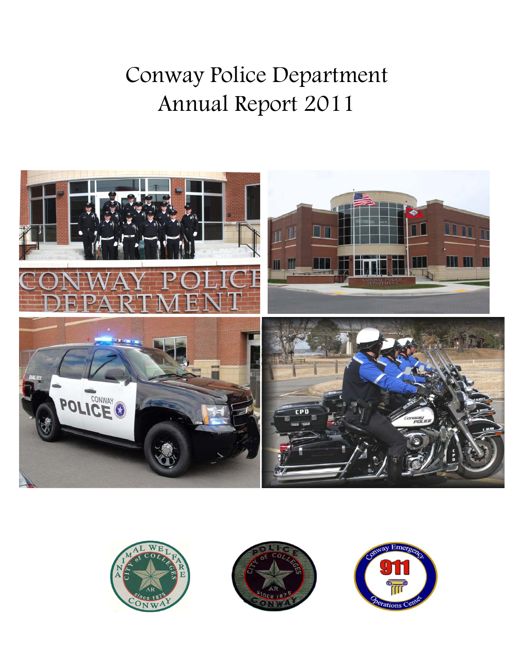# Conway Police Department Annual Report 2011







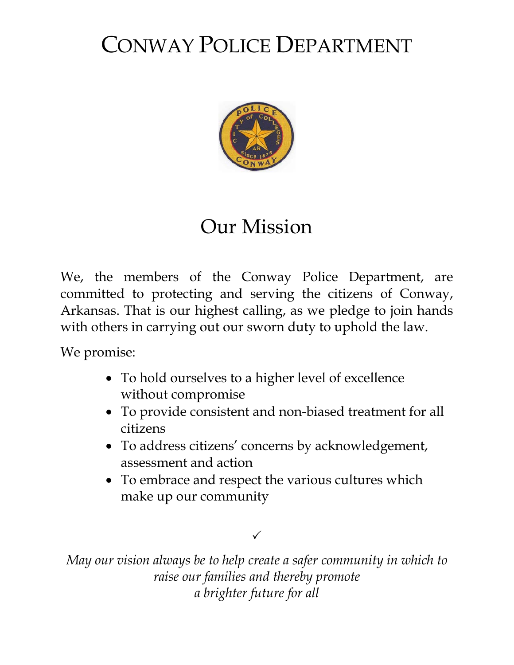## CONWAY POLICE DEPARTMENT



## Our Mission

We, the members of the Conway Police Department, are committed to protecting and serving the citizens of Conway, Arkansas. That is our highest calling, as we pledge to join hands with others in carrying out our sworn duty to uphold the law.

We promise:

- To hold ourselves to a higher level of excellence without compromise
- To provide consistent and non-biased treatment for all citizens
- To address citizens' concerns by acknowledgement, assessment and action
- To embrace and respect the various cultures which make up our community

## $\checkmark$

*May our vision always be to help create a safer community in which to raise our families and thereby promote a brighter future for all*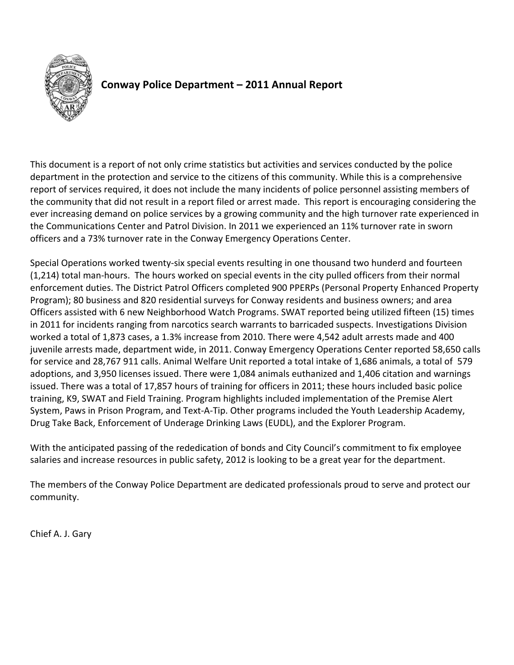

## **Conway Police Department – 2011 Annual Report**

This document is a report of not only crime statistics but activities and services conducted by the police department in the protection and service to the citizens of this community. While this is a comprehensive report of services required, it does not include the many incidents of police personnel assisting members of the community that did not result in a report filed or arrest made. This report is encouraging considering the ever increasing demand on police services by a growing community and the high turnover rate experienced in the Communications Center and Patrol Division. In 2011 we experienced an 11% turnover rate in sworn officers and a 73% turnover rate in the Conway Emergency Operations Center.

Special Operations worked twenty‐six special events resulting in one thousand two hunderd and fourteen (1,214) total man‐hours. The hours worked on special events in the city pulled officers from their normal enforcement duties. The District Patrol Officers completed 900 PPERPs (Personal Property Enhanced Property Program); 80 business and 820 residential surveys for Conway residents and business owners; and area Officers assisted with 6 new Neighborhood Watch Programs. SWAT reported being utilized fifteen (15) times in 2011 for incidents ranging from narcotics search warrants to barricaded suspects. Investigations Division worked a total of 1,873 cases, a 1.3% increase from 2010. There were 4,542 adult arrests made and 400 juvenile arrests made, department wide, in 2011. Conway Emergency Operations Center reported 58,650 calls for service and 28,767 911 calls. Animal Welfare Unit reported a total intake of 1,686 animals, a total of 579 adoptions, and 3,950 licenses issued. There were 1,084 animals euthanized and 1,406 citation and warnings issued. There was a total of 17,857 hours of training for officers in 2011; these hours included basic police training, K9, SWAT and Field Training. Program highlights included implementation of the Premise Alert System, Paws in Prison Program, and Text‐A‐Tip. Other programs included the Youth Leadership Academy, Drug Take Back, Enforcement of Underage Drinking Laws (EUDL), and the Explorer Program.

With the anticipated passing of the rededication of bonds and City Council's commitment to fix employee salaries and increase resources in public safety, 2012 is looking to be a great year for the department.

The members of the Conway Police Department are dedicated professionals proud to serve and protect our community.

Chief A. J. Gary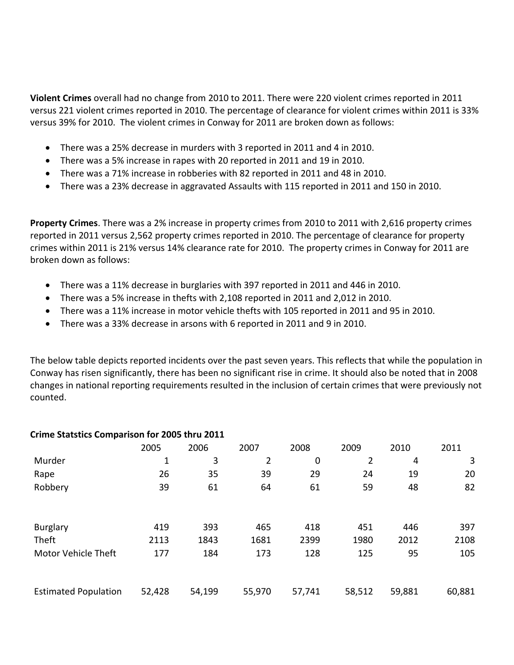**Violent Crimes** overall had no change from 2010 to 2011. There were 220 violent crimes reported in 2011 versus 221 violent crimes reported in 2010. The percentage of clearance for violent crimes within 2011 is 33% versus 39% for 2010. The violent crimes in Conway for 2011 are broken down as follows:

- There was a 25% decrease in murders with 3 reported in 2011 and 4 in 2010.
- There was a 5% increase in rapes with 20 reported in 2011 and 19 in 2010.
- There was a 71% increase in robberies with 82 reported in 2011 and 48 in 2010.
- There was a 23% decrease in aggravated Assaults with 115 reported in 2011 and 150 in 2010.

**Property Crimes**. There was a 2% increase in property crimes from 2010 to 2011 with 2,616 property crimes reported in 2011 versus 2,562 property crimes reported in 2010. The percentage of clearance for property crimes within 2011 is 21% versus 14% clearance rate for 2010. The property crimes in Conway for 2011 are broken down as follows:

- There was a 11% decrease in burglaries with 397 reported in 2011 and 446 in 2010.
- There was a 5% increase in thefts with 2,108 reported in 2011 and 2,012 in 2010.
- There was a 11% increase in motor vehicle thefts with 105 reported in 2011 and 95 in 2010.
- There was a 33% decrease in arsons with 6 reported in 2011 and 9 in 2010.

The below table depicts reported incidents over the past seven years. This reflects that while the population in Conway has risen significantly, there has been no significant rise in crime. It should also be noted that in 2008 changes in national reporting requirements resulted in the inclusion of certain crimes that were previously not counted.

| CHING Statstics Companison for E003 thru E011 |        |        |        |        |                |        |        |
|-----------------------------------------------|--------|--------|--------|--------|----------------|--------|--------|
|                                               | 2005   | 2006   | 2007   | 2008   | 2009           | 2010   | 2011   |
| Murder                                        | 1      | 3      | 2      | 0      | $\overline{2}$ | 4      | 3      |
| Rape                                          | 26     | 35     | 39     | 29     | 24             | 19     | 20     |
| Robbery                                       | 39     | 61     | 64     | 61     | 59             | 48     | 82     |
| <b>Burglary</b>                               | 419    | 393    | 465    | 418    | 451            | 446    | 397    |
| Theft                                         | 2113   | 1843   | 1681   | 2399   | 1980           | 2012   | 2108   |
| <b>Motor Vehicle Theft</b>                    | 177    | 184    | 173    | 128    | 125            | 95     | 105    |
| <b>Estimated Population</b>                   | 52,428 | 54,199 | 55,970 | 57,741 | 58,512         | 59,881 | 60,881 |

#### **Crime Statstics Comparison for 2005 thru 2011**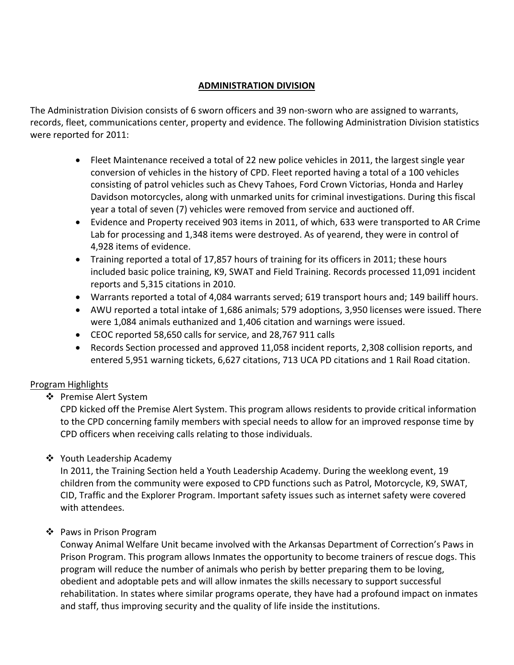#### **ADMINISTRATION DIVISION**

The Administration Division consists of 6 sworn officers and 39 non-sworn who are assigned to warrants, records, fleet, communications center, property and evidence. The following Administration Division statistics were reported for 2011:

- Fleet Maintenance received a total of 22 new police vehicles in 2011, the largest single year conversion of vehicles in the history of CPD. Fleet reported having a total of a 100 vehicles consisting of patrol vehicles such as Chevy Tahoes, Ford Crown Victorias, Honda and Harley Davidson motorcycles, along with unmarked units for criminal investigations. During this fiscal year a total of seven (7) vehicles were removed from service and auctioned off.
- Evidence and Property received 903 items in 2011, of which, 633 were transported to AR Crime Lab for processing and 1,348 items were destroyed. As of yearend, they were in control of 4,928 items of evidence.
- Training reported a total of 17,857 hours of training for its officers in 2011; these hours included basic police training, K9, SWAT and Field Training. Records processed 11,091 incident reports and 5,315 citations in 2010.
- Warrants reported a total of 4,084 warrants served; 619 transport hours and; 149 bailiff hours.
- AWU reported a total intake of 1,686 animals; 579 adoptions, 3,950 licenses were issued. There were 1,084 animals euthanized and 1,406 citation and warnings were issued.
- CEOC reported 58,650 calls for service, and 28,767 911 calls
- Records Section processed and approved 11,058 incident reports, 2,308 collision reports, and entered 5,951 warning tickets, 6,627 citations, 713 UCA PD citations and 1 Rail Road citation.

#### Program Highlights

❖ Premise Alert System

CPD kicked off the Premise Alert System. This program allows residents to provide critical information to the CPD concerning family members with special needs to allow for an improved response time by CPD officers when receiving calls relating to those individuals.

❖ Youth Leadership Academy

In 2011, the Training Section held a Youth Leadership Academy. During the weeklong event, 19 children from the community were exposed to CPD functions such as Patrol, Motorcycle, K9, SWAT, CID, Traffic and the Explorer Program. Important safety issues such as internet safety were covered with attendees.

❖ Paws in Prison Program

Conway Animal Welfare Unit became involved with the Arkansas Department of Correction's Paws in Prison Program. This program allows Inmates the opportunity to become trainers of rescue dogs. This program will reduce the number of animals who perish by better preparing them to be loving, obedient and adoptable pets and will allow inmates the skills necessary to support successful rehabilitation. In states where similar programs operate, they have had a profound impact on inmates and staff, thus improving security and the quality of life inside the institutions.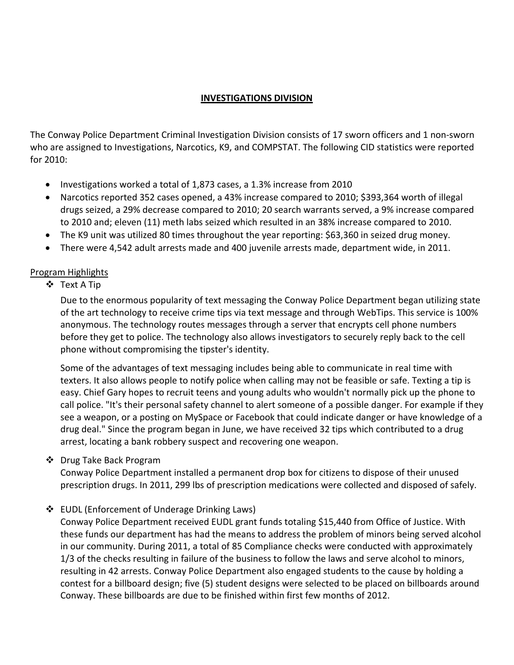#### **INVESTIGATIONS DIVISION**

The Conway Police Department Criminal Investigation Division consists of 17 sworn officers and 1 non‐sworn who are assigned to Investigations, Narcotics, K9, and COMPSTAT. The following CID statistics were reported for 2010:

- Investigations worked a total of 1,873 cases, a 1.3% increase from 2010
- Narcotics reported 352 cases opened, a 43% increase compared to 2010; \$393,364 worth of illegal drugs seized, a 29% decrease compared to 2010; 20 search warrants served, a 9% increase compared to 2010 and; eleven (11) meth labs seized which resulted in an 38% increase compared to 2010.
- The K9 unit was utilized 80 times throughout the year reporting: \$63,360 in seized drug money.
- There were 4,542 adult arrests made and 400 juvenile arrests made, department wide, in 2011.

#### Program Highlights

Text A Tip

Due to the enormous popularity of text messaging the Conway Police Department began utilizing state of the art technology to receive crime tips via text message and through WebTips. This service is 100% anonymous. The technology routes messages through a server that encrypts cell phone numbers before they get to police. The technology also allows investigators to securely reply back to the cell phone without compromising the tipster's identity.

Some of the advantages of text messaging includes being able to communicate in real time with texters. It also allows people to notify police when calling may not be feasible or safe. Texting a tip is easy. Chief Gary hopes to recruit teens and young adults who wouldn't normally pick up the phone to call police. "It's their personal safety channel to alert someone of a possible danger. For example if they see a weapon, or a posting on MySpace or Facebook that could indicate danger or have knowledge of a drug deal." Since the program began in June, we have received 32 tips which contributed to a drug arrest, locating a bank robbery suspect and recovering one weapon.

#### ❖ Drug Take Back Program

Conway Police Department installed a permanent drop box for citizens to dispose of their unused prescription drugs. In 2011, 299 lbs of prescription medications were collected and disposed of safely.

#### EUDL (Enforcement of Underage Drinking Laws)

Conway Police Department received EUDL grant funds totaling \$15,440 from Office of Justice. With these funds our department has had the means to address the problem of minors being served alcohol in our community. During 2011, a total of 85 Compliance checks were conducted with approximately 1/3 of the checks resulting in failure of the business to follow the laws and serve alcohol to minors, resulting in 42 arrests. Conway Police Department also engaged students to the cause by holding a contest for a billboard design; five (5) student designs were selected to be placed on billboards around Conway. These billboards are due to be finished within first few months of 2012.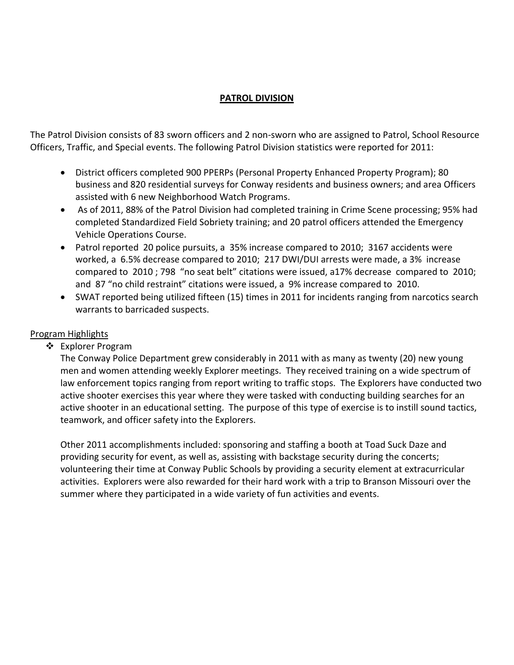#### **PATROL DIVISION**

The Patrol Division consists of 83 sworn officers and 2 non‐sworn who are assigned to Patrol, School Resource Officers, Traffic, and Special events. The following Patrol Division statistics were reported for 2011:

- District officers completed 900 PPERPs (Personal Property Enhanced Property Program); 80 business and 820 residential surveys for Conway residents and business owners; and area Officers assisted with 6 new Neighborhood Watch Programs.
- As of 2011, 88% of the Patrol Division had completed training in Crime Scene processing; 95% had completed Standardized Field Sobriety training; and 20 patrol officers attended the Emergency Vehicle Operations Course.
- Patrol reported 20 police pursuits, a 35% increase compared to 2010; 3167 accidents were worked, a 6.5% decrease compared to 2010; 217 DWI/DUI arrests were made, a 3% increase compared to 2010 ; 798 "no seat belt" citations were issued, a17% decrease compared to 2010; and 87 "no child restraint" citations were issued, a 9% increase compared to 2010.
- SWAT reported being utilized fifteen (15) times in 2011 for incidents ranging from narcotics search warrants to barricaded suspects.

#### Program Highlights

**❖** Explorer Program

The Conway Police Department grew considerably in 2011 with as many as twenty (20) new young men and women attending weekly Explorer meetings. They received training on a wide spectrum of law enforcement topics ranging from report writing to traffic stops. The Explorers have conducted two active shooter exercises this year where they were tasked with conducting building searches for an active shooter in an educational setting. The purpose of this type of exercise is to instill sound tactics, teamwork, and officer safety into the Explorers.

Other 2011 accomplishments included: sponsoring and staffing a booth at Toad Suck Daze and providing security for event, as well as, assisting with backstage security during the concerts; volunteering their time at Conway Public Schools by providing a security element at extracurricular activities. Explorers were also rewarded for their hard work with a trip to Branson Missouri over the summer where they participated in a wide variety of fun activities and events.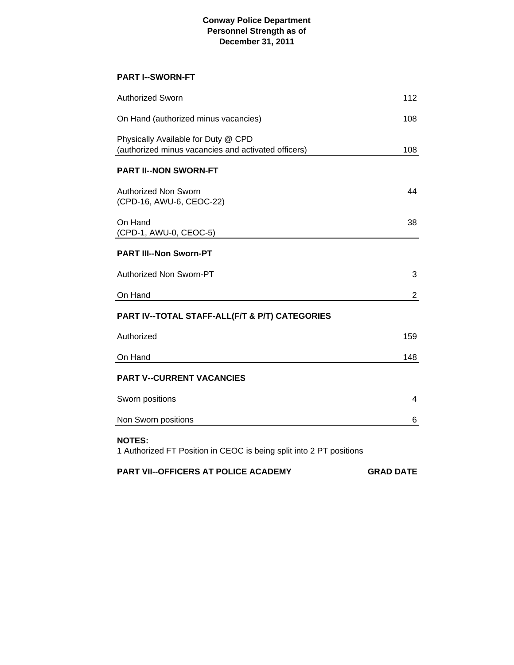#### **Conway Police Department Personnel Strength as of December 31, 2011**

#### **PART I--SWORN-FT**

| <b>Authorized Sworn</b>                                                                    | 112            |
|--------------------------------------------------------------------------------------------|----------------|
| On Hand (authorized minus vacancies)                                                       | 108            |
| Physically Available for Duty @ CPD<br>(authorized minus vacancies and activated officers) | 108            |
| <b>PART II--NON SWORN-FT</b>                                                               |                |
| <b>Authorized Non Sworn</b><br>(CPD-16, AWU-6, CEOC-22)                                    | 44             |
| On Hand<br>(CPD-1, AWU-0, CEOC-5)                                                          | 38             |
| <b>PART III--Non Sworn-PT</b>                                                              |                |
| Authorized Non Sworn-PT                                                                    | 3              |
| On Hand                                                                                    | $\overline{2}$ |
| PART IV--TOTAL STAFF-ALL(F/T & P/T) CATEGORIES                                             |                |
| Authorized                                                                                 | 159            |
| On Hand                                                                                    | 148            |
| <b>PART V--CURRENT VACANCIES</b>                                                           |                |
| Sworn positions                                                                            | 4              |
| Non Sworn positions                                                                        | 6              |
| <b>NOTES:</b><br>1 Authorized FT Position in CEOC is being split into 2 PT positions       |                |

**PART VII--OFFICERS AT POLICE ACADEMY GRAD DATE**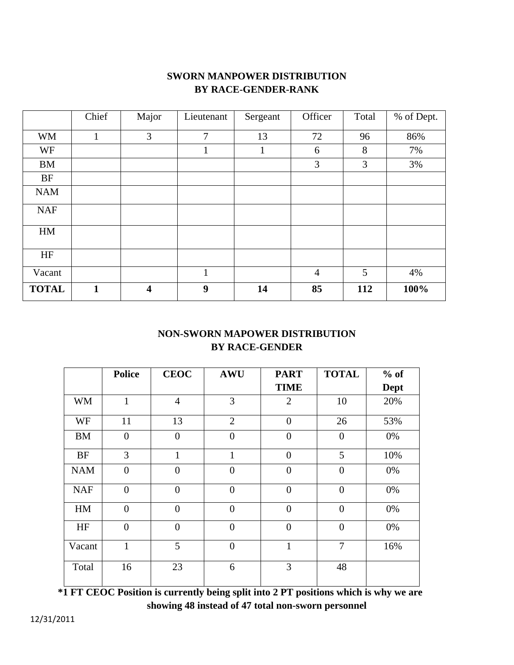### **SWORN MANPOWER DISTRIBUTION BY RACE-GENDER-RANK**

|              | Chief        | Major                   | Lieutenant     | Sergeant | Officer        | Total | % of Dept. |
|--------------|--------------|-------------------------|----------------|----------|----------------|-------|------------|
| <b>WM</b>    | $\mathbf{1}$ | 3                       | $\overline{7}$ | 13       | 72             | 96    | 86%        |
| WF           |              |                         | $\mathbf{1}$   | 1        | 6              | 8     | 7%         |
| <b>BM</b>    |              |                         |                |          | 3              | 3     | 3%         |
| <b>BF</b>    |              |                         |                |          |                |       |            |
| <b>NAM</b>   |              |                         |                |          |                |       |            |
| <b>NAF</b>   |              |                         |                |          |                |       |            |
| HM           |              |                         |                |          |                |       |            |
| HF           |              |                         |                |          |                |       |            |
| Vacant       |              |                         | $\mathbf{1}$   |          | $\overline{4}$ | 5     | 4%         |
| <b>TOTAL</b> | $\mathbf{1}$ | $\overline{\mathbf{4}}$ | 9              | 14       | 85             | 112   | 100%       |

### **NON-SWORN MAPOWER DISTRIBUTION BY RACE-GENDER**

|            | <b>Police</b>  | <b>CEOC</b>    | <b>AWU</b>     | <b>PART</b>    | <b>TOTAL</b>     | $%$ of      |
|------------|----------------|----------------|----------------|----------------|------------------|-------------|
|            |                |                |                | <b>TIME</b>    |                  | <b>Dept</b> |
| <b>WM</b>  | $\mathbf{1}$   | $\overline{4}$ | 3              | $\overline{2}$ | 10               | 20%         |
| WF         | 11             | 13             | $\overline{2}$ | $\overline{0}$ | 26               | 53%         |
| <b>BM</b>  | $\overline{0}$ | $\overline{0}$ | $\overline{0}$ | $\theta$       | $\overline{0}$   | 0%          |
| <b>BF</b>  | 3              | $\mathbf{1}$   | $\mathbf{1}$   | $\overline{0}$ | 5                | 10%         |
| <b>NAM</b> | $\overline{0}$ | $\overline{0}$ | $\overline{0}$ | $\overline{0}$ | $\overline{0}$   | 0%          |
| <b>NAF</b> | $\overline{0}$ | $\overline{0}$ | $\overline{0}$ | $\overline{0}$ | $\overline{0}$   | 0%          |
| HM         | $\overline{0}$ | $\overline{0}$ | $\overline{0}$ | $\overline{0}$ | $\overline{0}$   | 0%          |
| HF         | $\overline{0}$ | $\overline{0}$ | $\overline{0}$ | $\overline{0}$ | $\boldsymbol{0}$ | 0%          |
| Vacant     | 1              | 5              | $\overline{0}$ | 1              | $\tau$           | 16%         |
| Total      | 16             | 23             | 6              | 3              | 48               |             |

 **\*1 FT CEOC Position is currently being split into 2 PT positions which is why we are showing 48 instead of 47 total non-sworn personnel**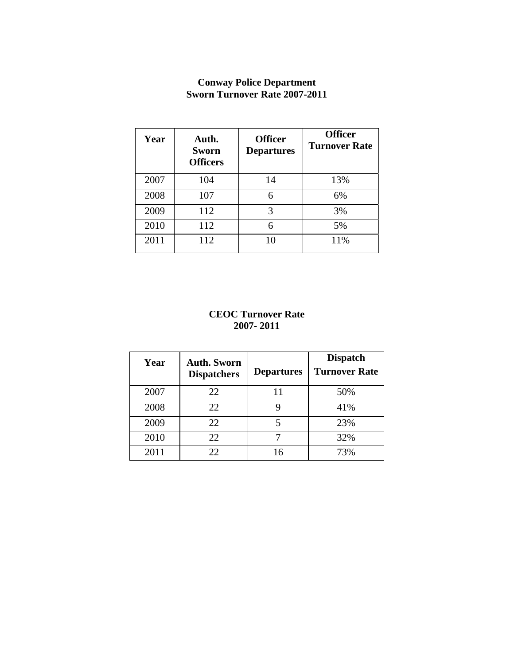#### **Conway Police Department Sworn Turnover Rate 2007-2011**

| Year | Auth.<br><b>Sworn</b><br><b>Officers</b> | <b>Officer</b><br><b>Departures</b> | <b>Officer</b><br><b>Turnover Rate</b> |
|------|------------------------------------------|-------------------------------------|----------------------------------------|
| 2007 | 104                                      | 14                                  | 13%                                    |
| 2008 | 107                                      | 6                                   | 6%                                     |
| 2009 | 112                                      | 3                                   | 3%                                     |
| 2010 | 112                                      | 6                                   | 5%                                     |
| 2011 | 112                                      | 10                                  | 11%                                    |

#### **CEOC Turnover Rate 2007- 2011**

| Year | <b>Auth. Sworn</b><br><b>Dispatchers</b> | <b>Departures</b> | <b>Dispatch</b><br><b>Turnover Rate</b> |
|------|------------------------------------------|-------------------|-----------------------------------------|
| 2007 | 22                                       |                   | 50%                                     |
| 2008 | 22                                       |                   | 41%                                     |
| 2009 | 22                                       | 5                 | 23%                                     |
| 2010 | 22                                       |                   | 32%                                     |
| 2011 | 22.                                      | 16                | 73%                                     |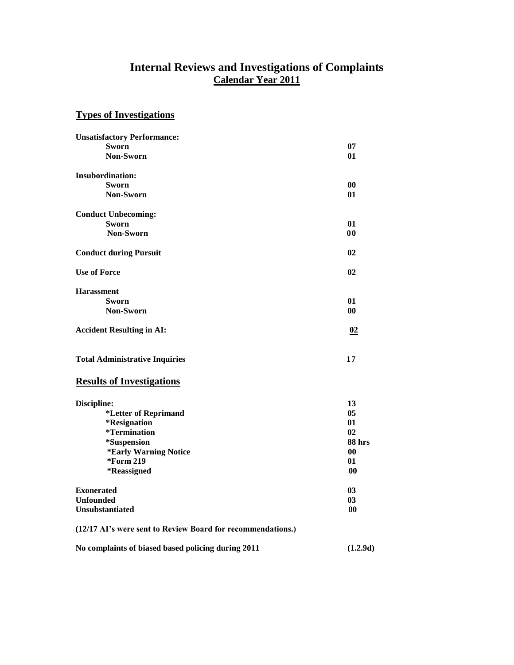#### **Internal Reviews and Investigations of Complaints Calendar Year 2011**

## **Types of Investigations**

| <b>Unsatisfactory Performance:</b>                          |                |
|-------------------------------------------------------------|----------------|
| <b>Sworn</b>                                                | 07             |
| <b>Non-Sworn</b>                                            | 01             |
| <b>Insubordination:</b>                                     |                |
| <b>Sworn</b>                                                | 00             |
| Non-Sworn                                                   | 01             |
| <b>Conduct Unbecoming:</b>                                  |                |
| <b>Sworn</b>                                                | 01             |
| Non-Sworn                                                   | 00             |
| <b>Conduct during Pursuit</b>                               | 02             |
| <b>Use of Force</b>                                         | 02             |
| <b>Harassment</b>                                           |                |
| <b>Sworn</b>                                                | 01             |
| Non-Sworn                                                   | 0 <sub>0</sub> |
| <b>Accident Resulting in AI:</b>                            | 02             |
| <b>Total Administrative Inquiries</b>                       | 17             |
| <b>Results of Investigations</b>                            |                |
| Discipline:                                                 | 13             |
| *Letter of Reprimand                                        | 05             |
| *Resignation                                                | 01             |
| <i>*</i> Termination                                        | 02             |
| *Suspension                                                 | 88 hrs         |
| *Early Warning Notice                                       | 00             |
| *Form 219                                                   | 01             |
| *Reassigned                                                 | 0 <sub>0</sub> |
| <b>Exonerated</b>                                           | 03             |
| <b>Unfounded</b>                                            | 0 <sub>3</sub> |
| <b>Unsubstantiated</b>                                      | 00             |
| (12/17 AI's were sent to Review Board for recommendations.) |                |
| No complaints of biased based policing during 2011          | (1.2.9d)       |